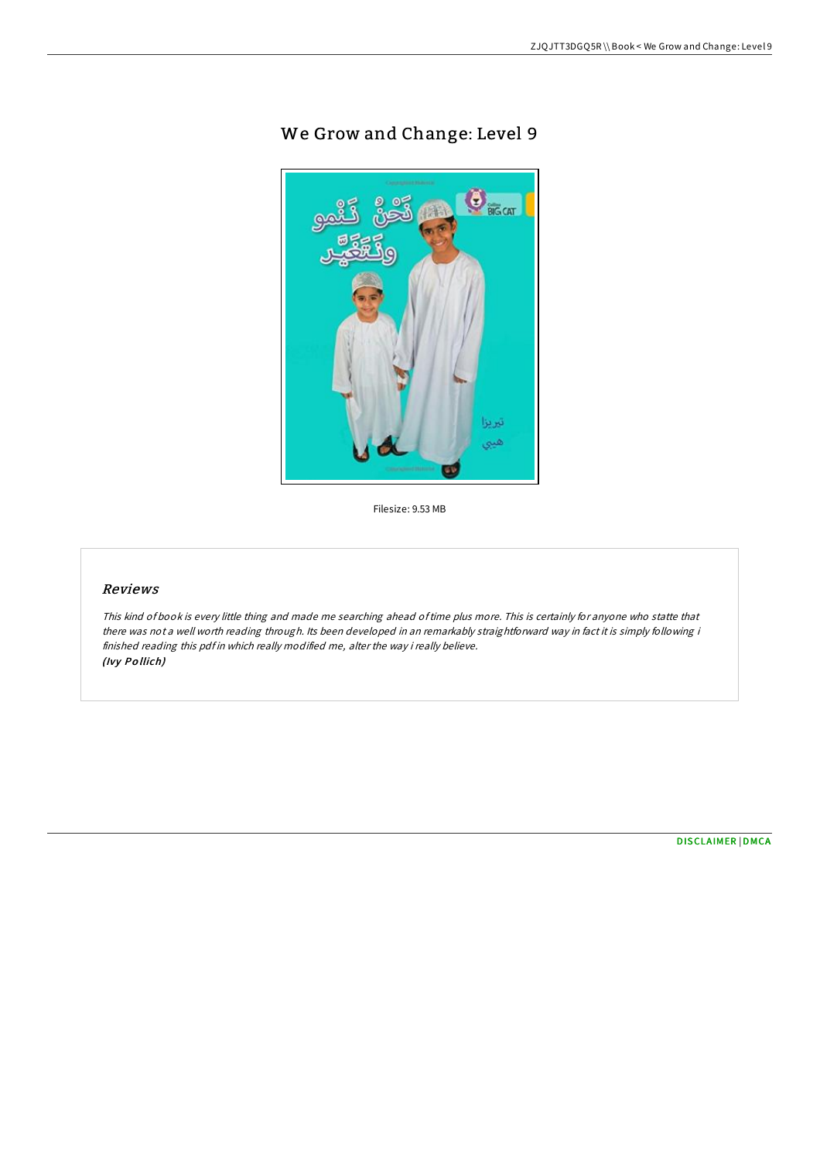## We Grow and Change: Level 9



Filesize: 9.53 MB

## Reviews

This kind of book is every little thing and made me searching ahead oftime plus more. This is certainly for anyone who statte that there was not <sup>a</sup> well worth reading through. Its been developed in an remarkably straightforward way in fact it is simply following i finished reading this pdf in which really modified me, alter the way i really believe. (Ivy Po llich)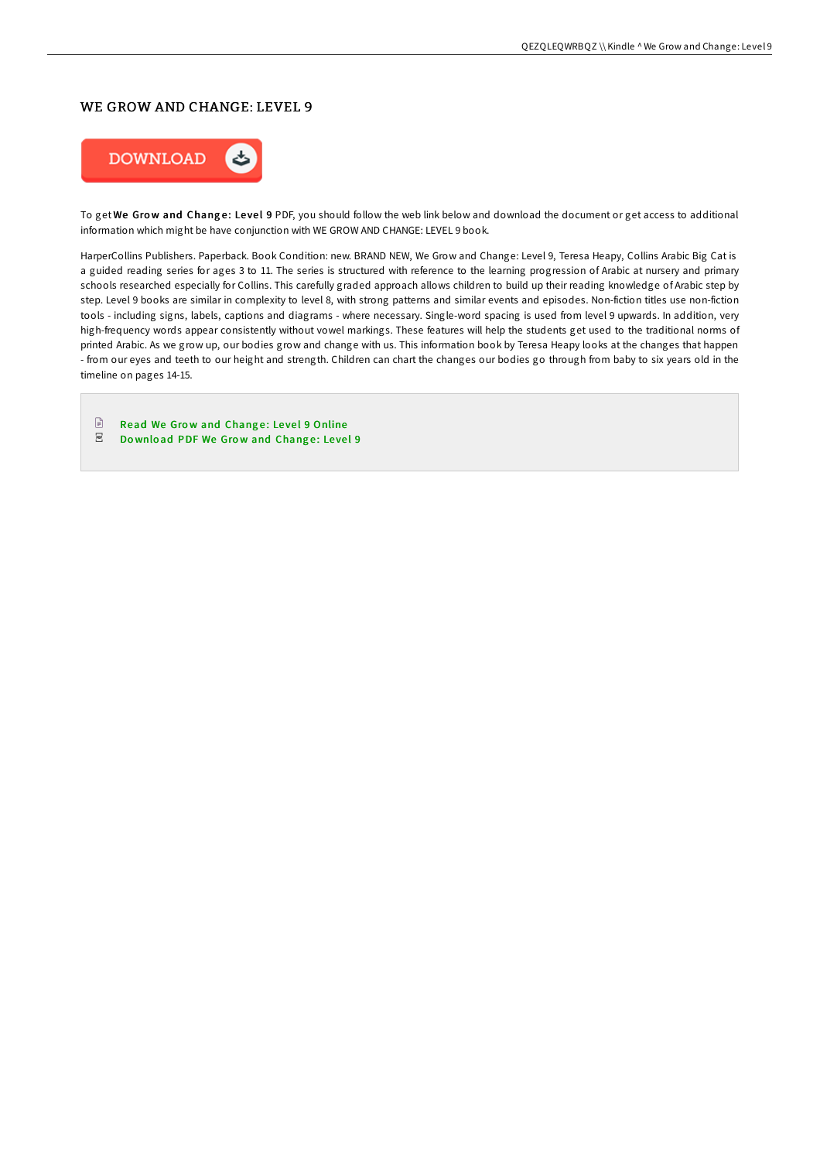## WE GROW AND CHANGE: LEVEL 9



To get We Grow and Change: Level 9 PDF, you should follow the web link below and download the document or get access to additional information which might be have conjunction with WE GROW AND CHANGE: LEVEL 9 book.

HarperCollins Publishers. Paperback. Book Condition: new. BRAND NEW, We Grow and Change: Level 9, Teresa Heapy, Collins Arabic Big Cat is a guided reading series for ages 3 to 11. The series is structured with reference to the learning progression of Arabic at nursery and primary schools researched especially for Collins. This carefully graded approach allows children to build up their reading knowledge of Arabic step by step. Level 9 books are similar in complexity to level 8, with strong patterns and similar events and episodes. Non-fiction titles use non-fiction tools - including signs, labels, captions and diagrams - where necessary. Single-word spacing is used from level 9 upwards. In addition, very high-frequency words appear consistently without vowel markings. These features will help the students get used to the traditional norms of printed Arabic. As we grow up, our bodies grow and change with us. This information book by Teresa Heapy looks at the changes that happen - from our eyes and teeth to our height and strength. Children can chart the changes our bodies go through from baby to six years old in the timeline on pages 14-15.

Read We Grow and Change: Level 9 [Online](http://almighty24.tech/we-grow-and-change-level-9.html)  $_{\rm per}$ Download PDF We Grow and [Chang](http://almighty24.tech/we-grow-and-change-level-9.html)e: Level 9